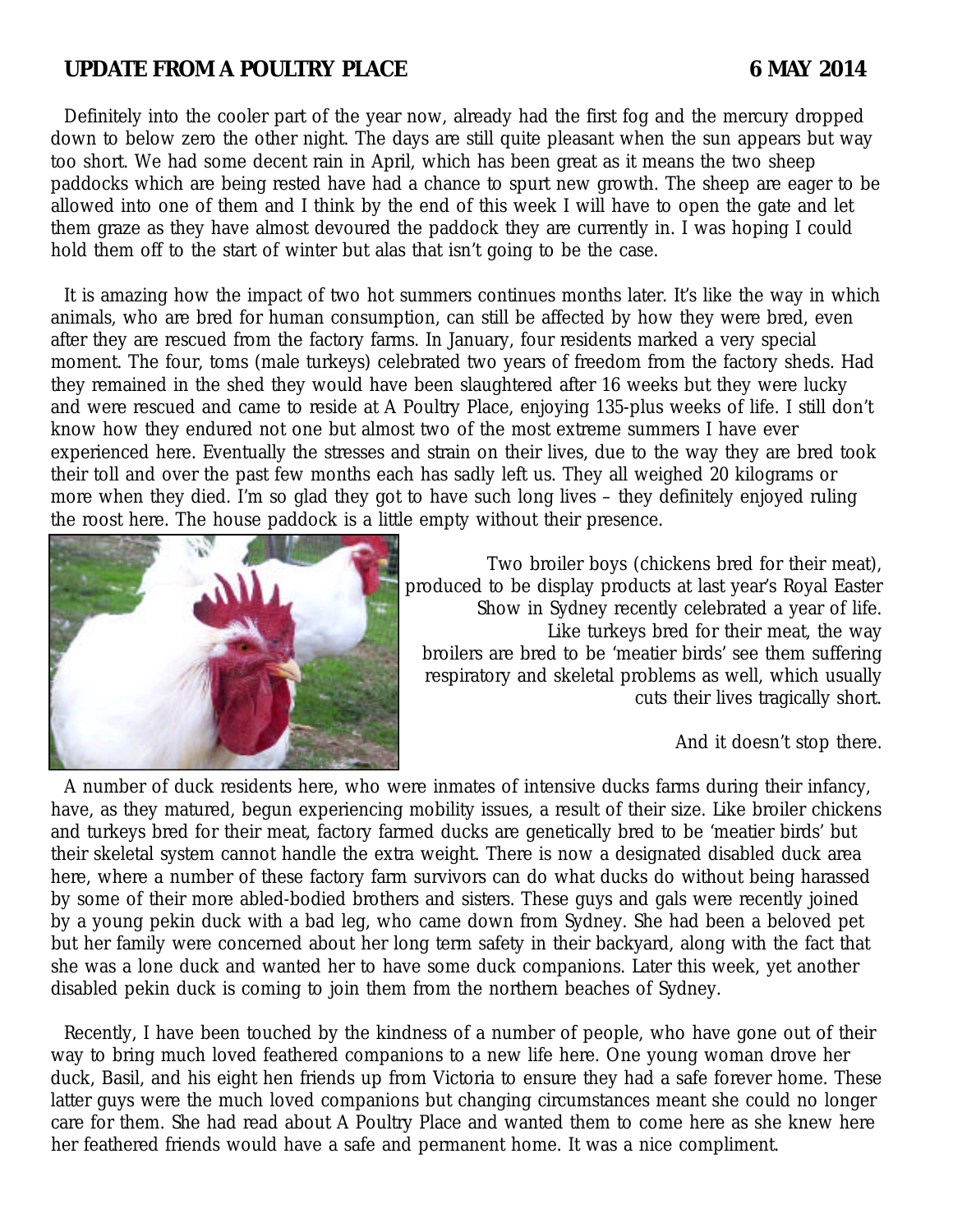# **UPDATE FROM A POULTRY PLACE 6 MAY 2014**

Definitely into the cooler part of the year now, already had the first fog and the mercury dropped down to below zero the other night. The days are still quite pleasant when the sun appears but way too short. We had some decent rain in April, which has been great as it means the two sheep paddocks which are being rested have had a chance to spurt new growth. The sheep are eager to be allowed into one of them and I think by the end of this week I will have to open the gate and let them graze as they have almost devoured the paddock they are currently in. I was hoping I could hold them off to the start of winter but alas that isn't going to be the case.

It is amazing how the impact of two hot summers continues months later. It's like the way in which animals, who are bred for human consumption, can still be affected by how they were bred, even after they are rescued from the factory farms. In January, four residents marked a very special moment. The four, toms (male turkeys) celebrated two years of freedom from the factory sheds. Had they remained in the shed they would have been slaughtered after 16 weeks but they were lucky and were rescued and came to reside at A Poultry Place, enjoying 135-plus weeks of life. I still don't know how they endured not one but almost two of the most extreme summers I have ever experienced here. Eventually the stresses and strain on their lives, due to the way they are bred took their toll and over the past few months each has sadly left us. They all weighed 20 kilograms or more when they died. I'm so glad they got to have such long lives – they definitely enjoyed ruling the roost here. The house paddock is a little empty without their presence.



Two broiler boys (chickens bred for their meat), produced to be display products at last year's Royal Easter Show in Sydney recently celebrated a year of life. Like turkeys bred for their meat, the way broilers are bred to be 'meatier birds' see them suffering respiratory and skeletal problems as well, which usually cuts their lives tragically short.

And it doesn't stop there.

A number of duck residents here, who were inmates of intensive ducks farms during their infancy, have, as they matured, begun experiencing mobility issues, a result of their size. Like broiler chickens and turkeys bred for their meat, factory farmed ducks are genetically bred to be 'meatier birds' but their skeletal system cannot handle the extra weight. There is now a designated disabled duck area here, where a number of these factory farm survivors can do what ducks do without being harassed by some of their more abled-bodied brothers and sisters. These guys and gals were recently joined by a young pekin duck with a bad leg, who came down from Sydney. She had been a beloved pet but her family were concerned about her long term safety in their backyard, along with the fact that she was a lone duck and wanted her to have some duck companions. Later this week, yet another disabled pekin duck is coming to join them from the northern beaches of Sydney.

Recently, I have been touched by the kindness of a number of people, who have gone out of their way to bring much loved feathered companions to a new life here. One young woman drove her duck, Basil, and his eight hen friends up from Victoria to ensure they had a safe forever home. These latter guys were the much loved companions but changing circumstances meant she could no longer care for them. She had read about A Poultry Place and wanted them to come here as she knew here her feathered friends would have a safe and permanent home. It was a nice compliment.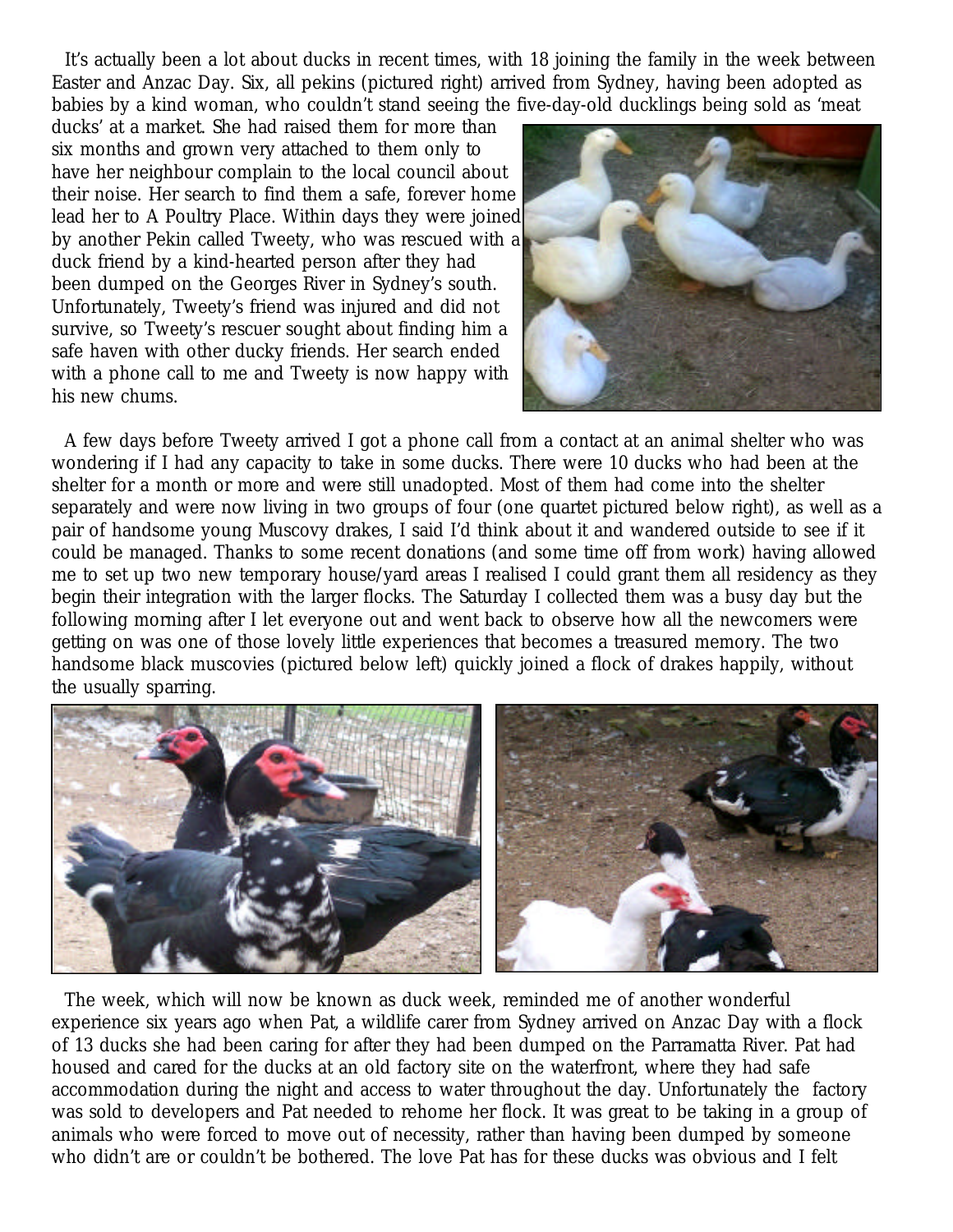It's actually been a lot about ducks in recent times, with 18 joining the family in the week between Easter and Anzac Day. Six, all pekins (pictured right) arrived from Sydney, having been adopted as babies by a kind woman, who couldn't stand seeing the five-day-old ducklings being sold as 'meat

ducks' at a market. She had raised them for more than six months and grown very attached to them only to have her neighbour complain to the local council about their noise. Her search to find them a safe, forever home lead her to A Poultry Place. Within days they were joined by another Pekin called Tweety, who was rescued with a duck friend by a kind-hearted person after they had been dumped on the Georges River in Sydney's south. Unfortunately, Tweety's friend was injured and did not survive, so Tweety's rescuer sought about finding him a safe haven with other ducky friends. Her search ended with a phone call to me and Tweety is now happy with his new chums.



A few days before Tweety arrived I got a phone call from a contact at an animal shelter who was wondering if I had any capacity to take in some ducks. There were 10 ducks who had been at the shelter for a month or more and were still unadopted. Most of them had come into the shelter separately and were now living in two groups of four (one quartet pictured below right), as well as a pair of handsome young Muscovy drakes, I said I'd think about it and wandered outside to see if it could be managed. Thanks to some recent donations (and some time off from work) having allowed me to set up two new temporary house/yard areas I realised I could grant them all residency as they begin their integration with the larger flocks. The Saturday I collected them was a busy day but the following morning after I let everyone out and went back to observe how all the newcomers were getting on was one of those lovely little experiences that becomes a treasured memory. The two handsome black muscovies (pictured below left) quickly joined a flock of drakes happily, without the usually sparring.



The week, which will now be known as duck week, reminded me of another wonderful experience six years ago when Pat, a wildlife carer from Sydney arrived on Anzac Day with a flock of 13 ducks she had been caring for after they had been dumped on the Parramatta River. Pat had housed and cared for the ducks at an old factory site on the waterfront, where they had safe accommodation during the night and access to water throughout the day. Unfortunately the factory was sold to developers and Pat needed to rehome her flock. It was great to be taking in a group of animals who were forced to move out of necessity, rather than having been dumped by someone who didn't are or couldn't be bothered. The love Pat has for these ducks was obvious and I felt